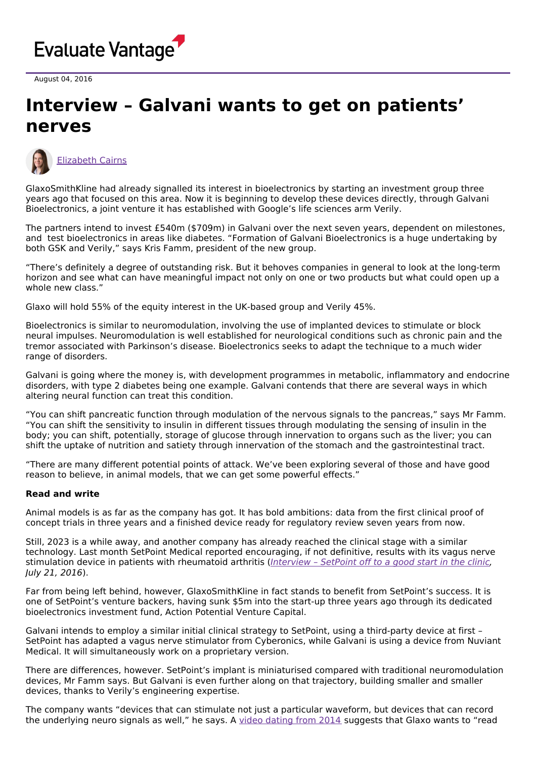

August 04, 2016

## **Interview – Galvani wants to get on patients' nerves**



[Elizabeth](https://www.evaluate.com/vantage/editorial-team/elizabeth-cairns) Cairns

GlaxoSmithKline had already signalled its interest in bioelectronics by starting an investment group three years ago that focused on this area. Now it is beginning to develop these devices directly, through Galvani Bioelectronics, a joint venture it has established with Google's life sciences arm Verily.

The partners intend to invest £540m (\$709m) in Galvani over the next seven years, dependent on milestones, and test bioelectronics in areas like diabetes. "Formation of Galvani Bioelectronics is a huge undertaking by both GSK and Verily," says Kris Famm, president of the new group.

"There's definitely a degree of outstanding risk. But it behoves companies in general to look at the long-term horizon and see what can have meaningful impact not only on one or two products but what could open up a whole new class."

Glaxo will hold 55% of the equity interest in the UK-based group and Verily 45%.

Bioelectronics is similar to neuromodulation, involving the use of implanted devices to stimulate or block neural impulses. Neuromodulation is well established for neurological conditions such as chronic pain and the tremor associated with Parkinson's disease. Bioelectronics seeks to adapt the technique to a much wider range of disorders.

Galvani is going where the money is, with development programmes in metabolic, inflammatory and endocrine disorders, with type 2 diabetes being one example. Galvani contends that there are several ways in which altering neural function can treat this condition.

"You can shift pancreatic function through modulation of the nervous signals to the pancreas," says Mr Famm. "You can shift the sensitivity to insulin in different tissues through modulating the sensing of insulin in the body; you can shift, potentially, storage of glucose through innervation to organs such as the liver; you can shift the uptake of nutrition and satiety through innervation of the stomach and the gastrointestinal tract.

"There are many different potential points of attack. We've been exploring several of those and have good reason to believe, in animal models, that we can get some powerful effects."

## **Read and write**

Animal models is as far as the company has got. It has bold ambitions: data from the first clinical proof of concept trials in three years and a finished device ready for regulatory review seven years from now.

Still, 2023 is a while away, and another company has already reached the clinical stage with a similar technology. Last month SetPoint Medical reported encouraging, if not definitive, results with its vagus nerve stimulation device in patients with rheumatoid arthritis ([Interview](http://www.epvantage.com/Universal/View.aspx?type=Story&id=650751&isEPVantage=yes) - SetPoint off to a good start in the clinic, July 21, 2016).

Far from being left behind, however, GlaxoSmithKline in fact stands to benefit from SetPoint's success. It is one of SetPoint's venture backers, having sunk \$5m into the start-up three years ago through its dedicated bioelectronics investment fund, Action Potential Venture Capital.

Galvani intends to employ a similar initial clinical strategy to SetPoint, using a third-party device at first – SetPoint has adapted a vagus nerve stimulator from Cyberonics, while Galvani is using a device from Nuviant Medical. It will simultaneously work on a proprietary version.

There are differences, however. SetPoint's implant is miniaturised compared with traditional neuromodulation devices, Mr Famm says. But Galvani is even further along on that trajectory, building smaller and smaller devices, thanks to Verily's engineering expertise.

The company wants "devices that can stimulate not just a particular waveform, but devices that can record the underlying neuro signals as well," he says. A video [dating](https://youtu.be/NhXtSy-Ccvg) from 2014 suggests that Glaxo wants to "read